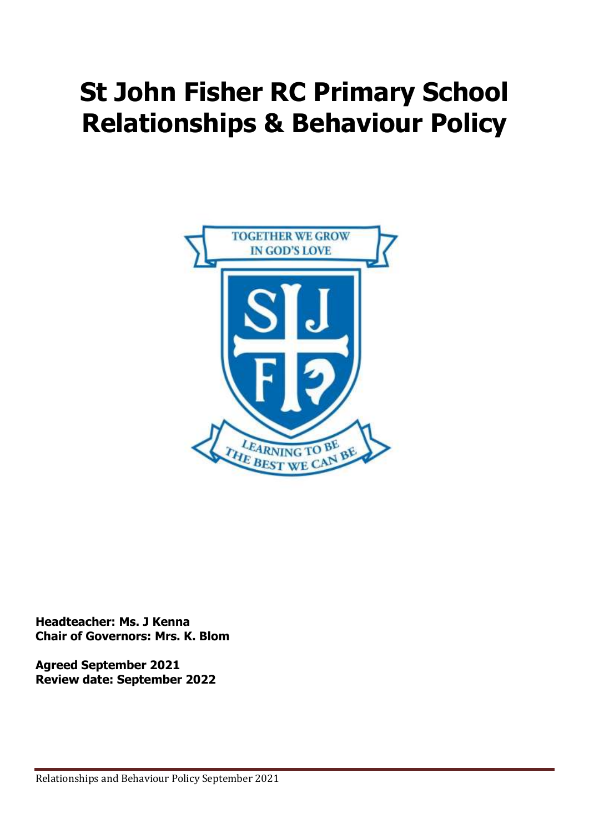# **St John Fisher RC Primary School Relationships & Behaviour Policy**



**Headteacher: Ms. J Kenna Chair of Governors: Mrs. K. Blom**

**Agreed September 2021 Review date: September 2022**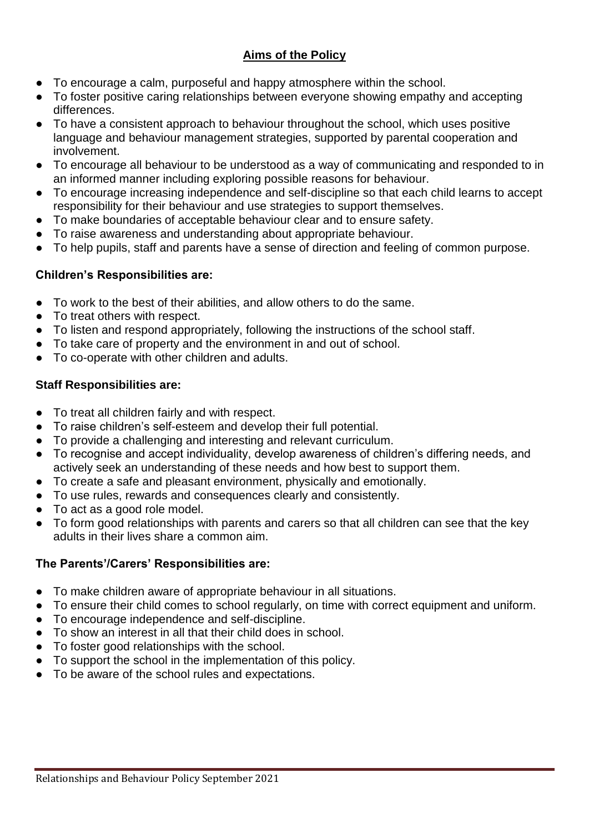## **Aims of the Policy**

- To encourage a calm, purposeful and happy atmosphere within the school.
- To foster positive caring relationships between everyone showing empathy and accepting differences.
- To have a consistent approach to behaviour throughout the school, which uses positive language and behaviour management strategies, supported by parental cooperation and involvement.
- To encourage all behaviour to be understood as a way of communicating and responded to in an informed manner including exploring possible reasons for behaviour.
- To encourage increasing independence and self-discipline so that each child learns to accept responsibility for their behaviour and use strategies to support themselves.
- To make boundaries of acceptable behaviour clear and to ensure safety.
- To raise awareness and understanding about appropriate behaviour.
- To help pupils, staff and parents have a sense of direction and feeling of common purpose.

## **Children's Responsibilities are:**

- To work to the best of their abilities, and allow others to do the same.
- To treat others with respect.
- To listen and respond appropriately, following the instructions of the school staff.
- To take care of property and the environment in and out of school.
- To co-operate with other children and adults.

## **Staff Responsibilities are:**

- To treat all children fairly and with respect.
- To raise children's self-esteem and develop their full potential.
- To provide a challenging and interesting and relevant curriculum.
- To recognise and accept individuality, develop awareness of children's differing needs, and actively seek an understanding of these needs and how best to support them.
- To create a safe and pleasant environment, physically and emotionally.
- To use rules, rewards and consequences clearly and consistently.
- To act as a good role model.
- To form good relationships with parents and carers so that all children can see that the key adults in their lives share a common aim.

## **The Parents'/Carers' Responsibilities are:**

- To make children aware of appropriate behaviour in all situations.
- To ensure their child comes to school regularly, on time with correct equipment and uniform.
- To encourage independence and self-discipline.
- To show an interest in all that their child does in school.
- To foster good relationships with the school.
- To support the school in the implementation of this policy.
- To be aware of the school rules and expectations.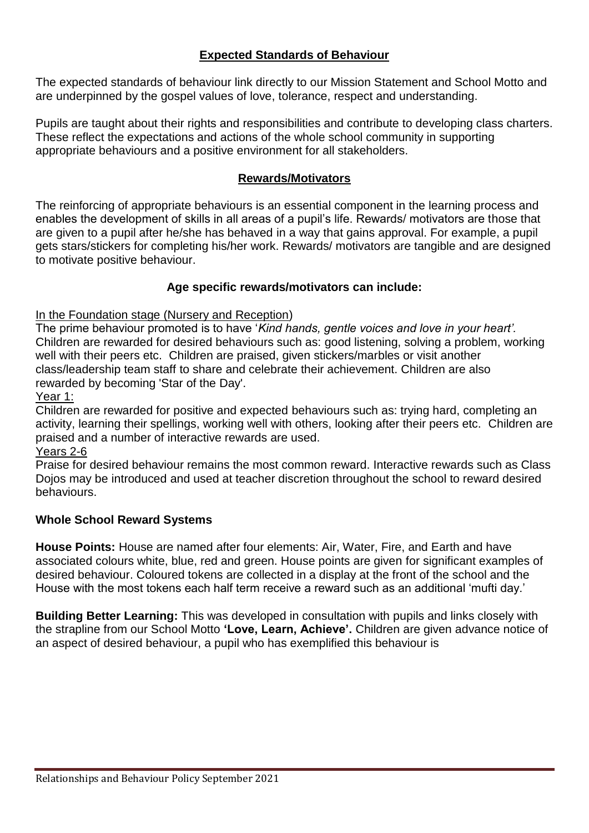## **Expected Standards of Behaviour**

The expected standards of behaviour link directly to our Mission Statement and School Motto and are underpinned by the gospel values of love, tolerance, respect and understanding.

Pupils are taught about their rights and responsibilities and contribute to developing class charters. These reflect the expectations and actions of the whole school community in supporting appropriate behaviours and a positive environment for all stakeholders.

#### **Rewards/Motivators**

The reinforcing of appropriate behaviours is an essential component in the learning process and enables the development of skills in all areas of a pupil's life. Rewards/ motivators are those that are given to a pupil after he/she has behaved in a way that gains approval. For example, a pupil gets stars/stickers for completing his/her work. Rewards/ motivators are tangible and are designed to motivate positive behaviour.

## **Age specific rewards/motivators can include:**

In the Foundation stage (Nursery and Reception)

The prime behaviour promoted is to have '*Kind hands, gentle voices and love in your heart'.*  Children are rewarded for desired behaviours such as: good listening, solving a problem, working well with their peers etc. Children are praised, given stickers/marbles or visit another class/leadership team staff to share and celebrate their achievement. Children are also rewarded by becoming 'Star of the Day'.

Year 1:

Children are rewarded for positive and expected behaviours such as: trying hard, completing an activity, learning their spellings, working well with others, looking after their peers etc. Children are praised and a number of interactive rewards are used.

Years 2-6

Praise for desired behaviour remains the most common reward. Interactive rewards such as Class Dojos may be introduced and used at teacher discretion throughout the school to reward desired behaviours.

#### **Whole School Reward Systems**

**House Points:** House are named after four elements: Air, Water, Fire, and Earth and have associated colours white, blue, red and green. House points are given for significant examples of desired behaviour. Coloured tokens are collected in a display at the front of the school and the House with the most tokens each half term receive a reward such as an additional 'mufti day.'

**Building Better Learning:** This was developed in consultation with pupils and links closely with the strapline from our School Motto **'Love, Learn, Achieve'.** Children are given advance notice of an aspect of desired behaviour, a pupil who has exemplified this behaviour is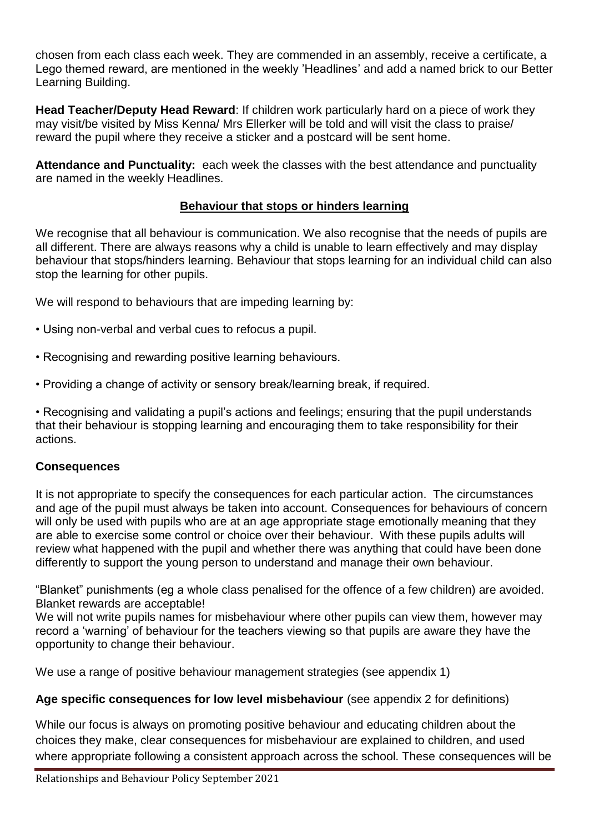chosen from each class each week. They are commended in an assembly, receive a certificate, a Lego themed reward, are mentioned in the weekly 'Headlines' and add a named brick to our Better Learning Building.

**Head Teacher/Deputy Head Reward**: If children work particularly hard on a piece of work they may visit/be visited by Miss Kenna/ Mrs Ellerker will be told and will visit the class to praise/ reward the pupil where they receive a sticker and a postcard will be sent home.

**Attendance and Punctuality:** each week the classes with the best attendance and punctuality are named in the weekly Headlines.

## **Behaviour that stops or hinders learning**

We recognise that all behaviour is communication. We also recognise that the needs of pupils are all different. There are always reasons why a child is unable to learn effectively and may display behaviour that stops/hinders learning. Behaviour that stops learning for an individual child can also stop the learning for other pupils.

We will respond to behaviours that are impeding learning by:

- Using non-verbal and verbal cues to refocus a pupil.
- Recognising and rewarding positive learning behaviours.
- Providing a change of activity or sensory break/learning break, if required.

• Recognising and validating a pupil's actions and feelings; ensuring that the pupil understands that their behaviour is stopping learning and encouraging them to take responsibility for their actions.

#### **Consequences**

It is not appropriate to specify the consequences for each particular action. The circumstances and age of the pupil must always be taken into account. Consequences for behaviours of concern will only be used with pupils who are at an age appropriate stage emotionally meaning that they are able to exercise some control or choice over their behaviour. With these pupils adults will review what happened with the pupil and whether there was anything that could have been done differently to support the young person to understand and manage their own behaviour.

"Blanket" punishments (eg a whole class penalised for the offence of a few children) are avoided. Blanket rewards are acceptable!

We will not write pupils names for misbehaviour where other pupils can view them, however may record a 'warning' of behaviour for the teachers viewing so that pupils are aware they have the opportunity to change their behaviour.

We use a range of positive behaviour management strategies (see appendix 1)

#### **Age specific consequences for low level misbehaviour** (see appendix 2 for definitions)

While our focus is always on promoting positive behaviour and educating children about the choices they make, clear consequences for misbehaviour are explained to children, and used where appropriate following a consistent approach across the school. These consequences will be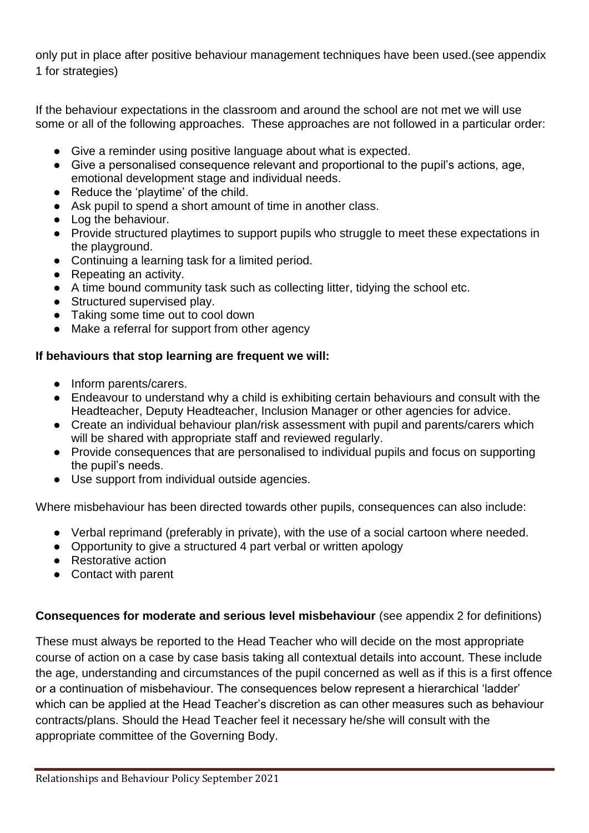only put in place after positive behaviour management techniques have been used.(see appendix 1 for strategies)

If the behaviour expectations in the classroom and around the school are not met we will use some or all of the following approaches. These approaches are not followed in a particular order:

- Give a reminder using positive language about what is expected.
- Give a personalised consequence relevant and proportional to the pupil's actions, age, emotional development stage and individual needs.
- Reduce the 'playtime' of the child.
- Ask pupil to spend a short amount of time in another class.
- Log the behaviour.
- Provide structured playtimes to support pupils who struggle to meet these expectations in the playground.
- Continuing a learning task for a limited period.
- Repeating an activity.
- A time bound community task such as collecting litter, tidying the school etc.
- Structured supervised play.
- Taking some time out to cool down
- Make a referral for support from other agency

## **If behaviours that stop learning are frequent we will:**

- Inform parents/carers.
- Endeavour to understand why a child is exhibiting certain behaviours and consult with the Headteacher, Deputy Headteacher, Inclusion Manager or other agencies for advice.
- Create an individual behaviour plan/risk assessment with pupil and parents/carers which will be shared with appropriate staff and reviewed regularly.
- Provide consequences that are personalised to individual pupils and focus on supporting the pupil's needs.
- Use support from individual outside agencies.

Where misbehaviour has been directed towards other pupils, consequences can also include:

- Verbal reprimand (preferably in private), with the use of a social cartoon where needed.
- Opportunity to give a structured 4 part verbal or written apology
- Restorative action
- Contact with parent

## **Consequences for moderate and serious level misbehaviour** (see appendix 2 for definitions)

These must always be reported to the Head Teacher who will decide on the most appropriate course of action on a case by case basis taking all contextual details into account. These include the age, understanding and circumstances of the pupil concerned as well as if this is a first offence or a continuation of misbehaviour. The consequences below represent a hierarchical 'ladder' which can be applied at the Head Teacher's discretion as can other measures such as behaviour contracts/plans. Should the Head Teacher feel it necessary he/she will consult with the appropriate committee of the Governing Body.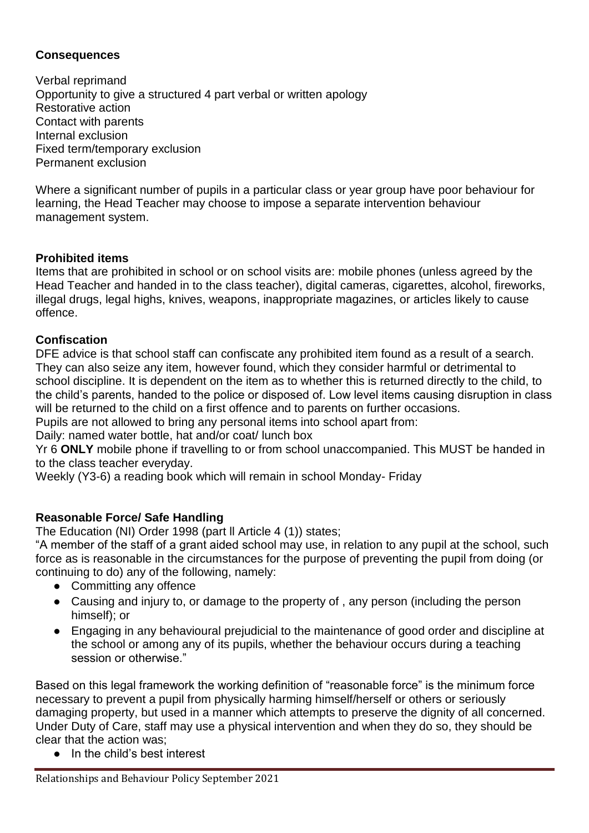#### **Consequences**

Verbal reprimand Opportunity to give a structured 4 part verbal or written apology Restorative action Contact with parents Internal exclusion Fixed term/temporary exclusion Permanent exclusion

Where a significant number of pupils in a particular class or year group have poor behaviour for learning, the Head Teacher may choose to impose a separate intervention behaviour management system.

## **Prohibited items**

Items that are prohibited in school or on school visits are: mobile phones (unless agreed by the Head Teacher and handed in to the class teacher), digital cameras, cigarettes, alcohol, fireworks, illegal drugs, legal highs, knives, weapons, inappropriate magazines, or articles likely to cause offence.

## **Confiscation**

DFE advice is that school staff can confiscate any prohibited item found as a result of a search. They can also seize any item, however found, which they consider harmful or detrimental to school discipline. It is dependent on the item as to whether this is returned directly to the child, to the child's parents, handed to the police or disposed of. Low level items causing disruption in class will be returned to the child on a first offence and to parents on further occasions.

Pupils are not allowed to bring any personal items into school apart from:

Daily: named water bottle, hat and/or coat/ lunch box

Yr 6 **ONLY** mobile phone if travelling to or from school unaccompanied. This MUST be handed in to the class teacher everyday.

Weekly (Y3-6) a reading book which will remain in school Monday- Friday

#### **Reasonable Force/ Safe Handling**

The Education (NI) Order 1998 (part ll Article 4 (1)) states;

"A member of the staff of a grant aided school may use, in relation to any pupil at the school, such force as is reasonable in the circumstances for the purpose of preventing the pupil from doing (or continuing to do) any of the following, namely:

- Committing any offence
- Causing and injury to, or damage to the property of, any person (including the person himself); or
- Engaging in any behavioural prejudicial to the maintenance of good order and discipline at the school or among any of its pupils, whether the behaviour occurs during a teaching session or otherwise."

Based on this legal framework the working definition of "reasonable force" is the minimum force necessary to prevent a pupil from physically harming himself/herself or others or seriously damaging property, but used in a manner which attempts to preserve the dignity of all concerned. Under Duty of Care, staff may use a physical intervention and when they do so, they should be clear that the action was;

● In the child's best interest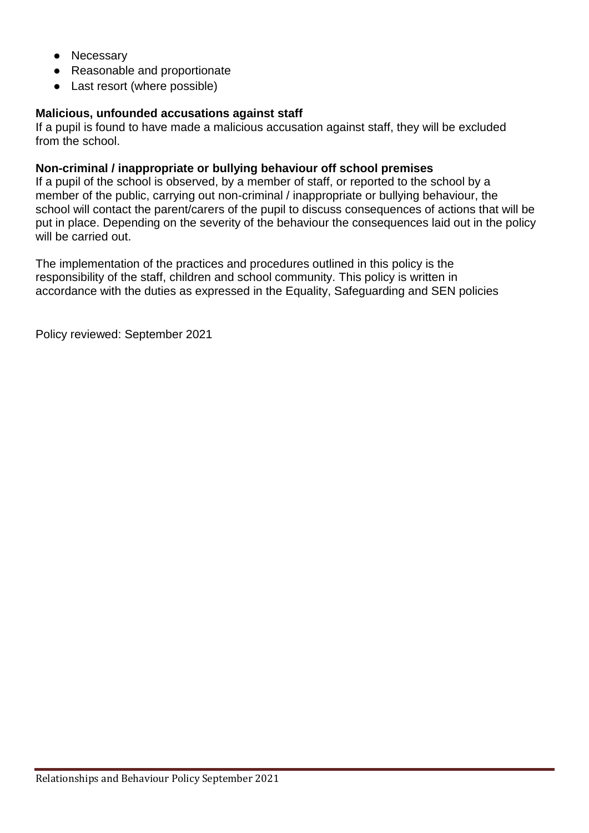- Necessary
- Reasonable and proportionate
- Last resort (where possible)

#### **Malicious, unfounded accusations against staff**

If a pupil is found to have made a malicious accusation against staff, they will be excluded from the school.

#### **Non-criminal / inappropriate or bullying behaviour off school premises**

If a pupil of the school is observed, by a member of staff, or reported to the school by a member of the public, carrying out non-criminal / inappropriate or bullying behaviour, the school will contact the parent/carers of the pupil to discuss consequences of actions that will be put in place. Depending on the severity of the behaviour the consequences laid out in the policy will be carried out.

The implementation of the practices and procedures outlined in this policy is the responsibility of the staff, children and school community. This policy is written in accordance with the duties as expressed in the Equality, Safeguarding and SEN policies

Policy reviewed: September 2021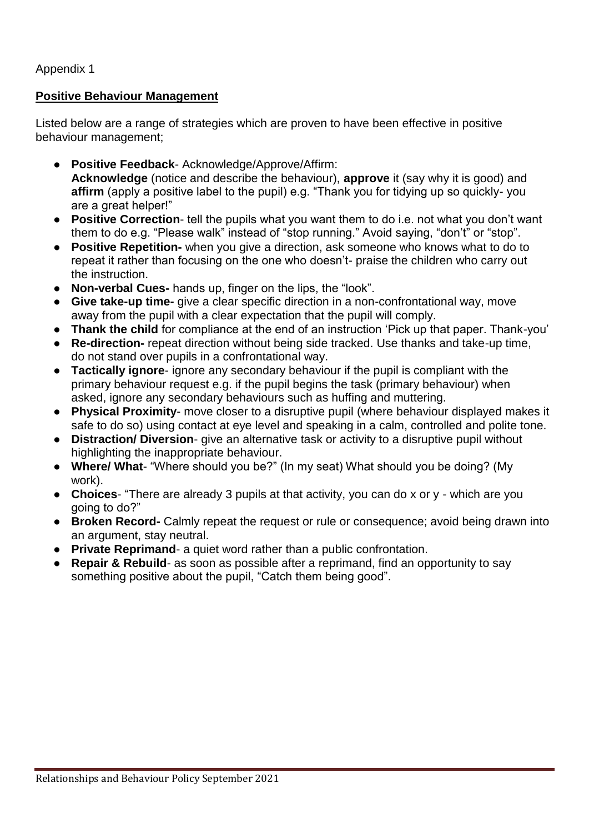Appendix 1

#### **Positive Behaviour Management**

Listed below are a range of strategies which are proven to have been effective in positive behaviour management;

- **Positive Feedback** Acknowledge/Approve/Affirm: **Acknowledge** (notice and describe the behaviour), **approve** it (say why it is good) and **affirm** (apply a positive label to the pupil) e.g. "Thank you for tidying up so quickly- you are a great helper!"
- **Positive Correction** tell the pupils what you want them to do i.e. not what you don't want them to do e.g. "Please walk" instead of "stop running." Avoid saying, "don't" or "stop".
- **Positive Repetition-** when you give a direction, ask someone who knows what to do to repeat it rather than focusing on the one who doesn't- praise the children who carry out the instruction.
- **Non-verbal Cues-** hands up, finger on the lips, the "look".
- **Give take-up time-** give a clear specific direction in a non-confrontational way, move away from the pupil with a clear expectation that the pupil will comply.
- **Thank the child** for compliance at the end of an instruction 'Pick up that paper. Thank-you'
- **Re-direction-** repeat direction without being side tracked. Use thanks and take-up time, do not stand over pupils in a confrontational way.
- **Tactically ignore** ignore any secondary behaviour if the pupil is compliant with the primary behaviour request e.g. if the pupil begins the task (primary behaviour) when asked, ignore any secondary behaviours such as huffing and muttering.
- **Physical Proximity** move closer to a disruptive pupil (where behaviour displayed makes it safe to do so) using contact at eye level and speaking in a calm, controlled and polite tone.
- **Distraction/ Diversion** give an alternative task or activity to a disruptive pupil without highlighting the inappropriate behaviour.
- **Where/ What** "Where should you be?" (In my seat) What should you be doing? (My work).
- **Choices** "There are already 3 pupils at that activity, you can do x or y which are you going to do?"
- **Broken Record-** Calmly repeat the request or rule or consequence; avoid being drawn into an argument, stay neutral.
- **Private Reprimand** a quiet word rather than a public confrontation.
- **Repair & Rebuild** as soon as possible after a reprimand, find an opportunity to say something positive about the pupil, "Catch them being good".